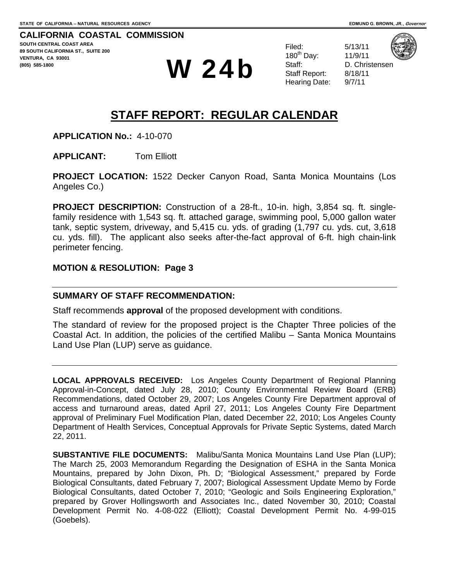**CALIFORNIA COASTAL COMMISSION SOUTH CENTRAL COAST AREA 89 SOUTH CALIFORNIA ST., SUITE 200 VENTURA, CA 93001 COOS)** 585-1800 **W** 24b

Filed: 5/13/11 180th Day: 11/9/11 Staff: D. Christensen Staff Report: 8/18/11 Hearing Date: 9/7/11



## **STAFF REPORT: REGULAR CALENDAR**

**APPLICATION No.:** 4-10-070

**APPLICANT:** Tom Elliott

**PROJECT LOCATION:** 1522 Decker Canyon Road, Santa Monica Mountains (Los Angeles Co.)

**PROJECT DESCRIPTION:** Construction of a 28-ft., 10-in. high, 3,854 sq. ft. singlefamily residence with 1,543 sq. ft. attached garage, swimming pool, 5,000 gallon water tank, septic system, driveway, and 5,415 cu. yds. of grading (1,797 cu. yds. cut, 3,618 cu. yds. fill). The applicant also seeks after-the-fact approval of 6-ft. high chain-link perimeter fencing.

#### **MOTION & RESOLUTION: Page 3**

#### **SUMMARY OF STAFF RECOMMENDATION:**

Staff recommends **approval** of the proposed development with conditions.

The standard of review for the proposed project is the Chapter Three policies of the Coastal Act. In addition, the policies of the certified Malibu – Santa Monica Mountains Land Use Plan (LUP) serve as guidance.

**LOCAL APPROVALS RECEIVED:** Los Angeles County Department of Regional Planning Approval-in-Concept, dated July 28, 2010; County Environmental Review Board (ERB) Recommendations, dated October 29, 2007; Los Angeles County Fire Department approval of access and turnaround areas, dated April 27, 2011; Los Angeles County Fire Department approval of Preliminary Fuel Modification Plan, dated December 22, 2010; Los Angeles County Department of Health Services, Conceptual Approvals for Private Septic Systems, dated March 22, 2011.

<span id="page-0-0"></span>**SUBSTANTIVE FILE DOCUMENTS:** Malibu/Santa Monica Mountains Land Use Plan (LUP); The March 25, 2003 Memorandum Regarding the Designation of ESHA in the Santa Monica Mountains, prepared by John Dixon, Ph. D; "Biological Assessment," prepared by Forde Biological Consultants, dated February 7, 2007; Biological Assessment Update Memo by Forde Biological Consultants, dated October 7, 2010; "Geologic and Soils Engineering Exploration," prepared by Grover Hollingsworth and Associates Inc., dated November 30, 2010; Coastal Development Permit No. 4-08-022 (Elliott); Coastal Development Permit No. 4-99-015 (Goebels).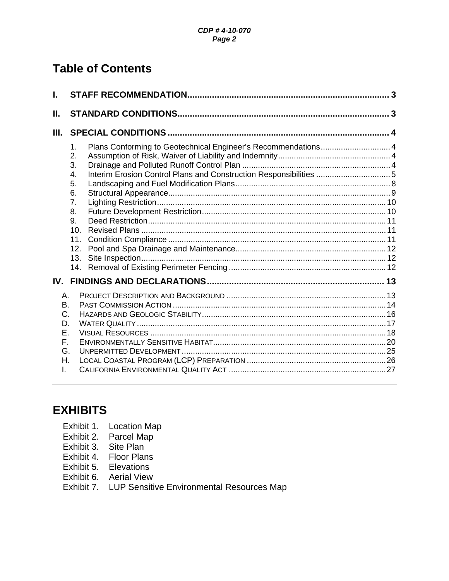# **Table of Contents**

| L.                                                 |                                                                                       |                                                                                                                                    |  |
|----------------------------------------------------|---------------------------------------------------------------------------------------|------------------------------------------------------------------------------------------------------------------------------------|--|
| Ш.                                                 |                                                                                       |                                                                                                                                    |  |
| Ш.                                                 |                                                                                       |                                                                                                                                    |  |
|                                                    | 1.<br>2.<br>3.<br>4.<br>5.<br>6.<br>7.<br>8.<br>9.<br>10.<br>11.<br>12.<br>13.<br>14. | Plans Conforming to Geotechnical Engineer's Recommendations 4<br>Interim Erosion Control Plans and Construction Responsibilities 5 |  |
| IV.                                                |                                                                                       |                                                                                                                                    |  |
| Α.<br>В.<br>C.<br>D.<br>Ε.<br>F.<br>G.<br>Η.<br>L. |                                                                                       |                                                                                                                                    |  |

# **EXHIBITS**

- Exhibit 1. Location Map
- Exhibit 2. Parcel Map
- Exhibit 3. Site Plan
- Exhibit 4. Floor Plans
- Exhibit 5. Elevations
- Exhibit 6. Aerial View
- Exhibit 7. LUP Sensitive Environmental Resources Map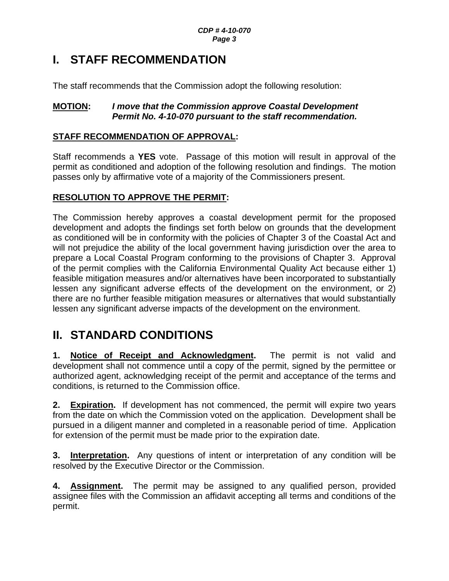# <span id="page-2-0"></span>**I. STAFF RECOMMENDATION**

The staff recommends that the Commission adopt the following resolution:

### **MOTION:** *I move that the Commission approve Coastal Development Permit No. 4-10-070 pursuant to the staff recommendation.*

## **STAFF RECOMMENDATION OF APPROVAL:**

Staff recommends a **YES** vote. Passage of this motion will result in approval of the permit as conditioned and adoption of the following resolution and findings. The motion passes only by affirmative vote of a majority of the Commissioners present.

## **RESOLUTION TO APPROVE THE PERMIT:**

The Commission hereby approves a coastal development permit for the proposed development and adopts the findings set forth below on grounds that the development as conditioned will be in conformity with the policies of Chapter 3 of the Coastal Act and will not prejudice the ability of the local government having jurisdiction over the area to prepare a Local Coastal Program conforming to the provisions of Chapter 3. Approval of the permit complies with the California Environmental Quality Act because either 1) feasible mitigation measures and/or alternatives have been incorporated to substantially lessen any significant adverse effects of the development on the environment, or 2) there are no further feasible mitigation measures or alternatives that would substantially lessen any significant adverse impacts of the development on the environment.

# <span id="page-2-1"></span>**II. STANDARD CONDITIONS**

**1. Notice of Receipt and Acknowledgment.** The permit is not valid and development shall not commence until a copy of the permit, signed by the permittee or authorized agent, acknowledging receipt of the permit and acceptance of the terms and conditions, is returned to the Commission office.

**2. Expiration.** If development has not commenced, the permit will expire two years from the date on which the Commission voted on the application. Development shall be pursued in a diligent manner and completed in a reasonable period of time. Application for extension of the permit must be made prior to the expiration date.

**3. Interpretation.** Any questions of intent or interpretation of any condition will be resolved by the Executive Director or the Commission.

**4. Assignment.** The permit may be assigned to any qualified person, provided assignee files with the Commission an affidavit accepting all terms and conditions of the permit.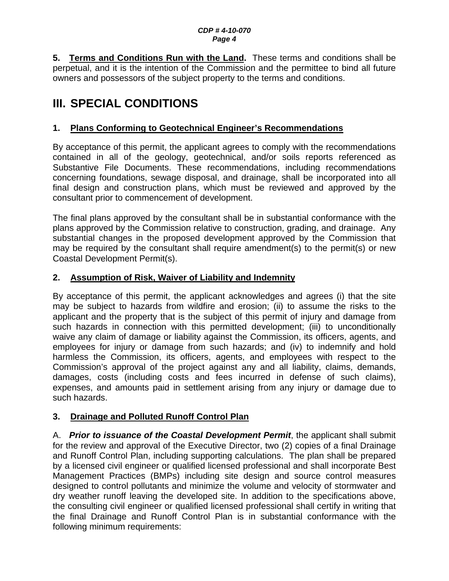#### *CDP # 4-10-070 Page 4*

**5. Terms and Conditions Run with the Land.** These terms and conditions shall be perpetual, and it is the intention of the Commission and the permittee to bind all future owners and possessors of the subject property to the terms and conditions.

# <span id="page-3-0"></span>**III. SPECIAL CONDITIONS**

## <span id="page-3-1"></span>**1. Plans Conforming to Geotechnical Engineer's Recommendations**

By acceptance of this permit, the applicant agrees to comply with the recommendations contained in all of the geology, geotechnical, and/or soils reports referenced as Substantive File Documents. These recommendations, including recommendations concerning foundations, sewage disposal, and drainage, shall be incorporated into all final design and construction plans, which must be reviewed and approved by the consultant prior to commencement of development.

The final plans approved by the consultant shall be in substantial conformance with the plans approved by the Commission relative to construction, grading, and drainage. Any substantial changes in the proposed development approved by the Commission that may be required by the consultant shall require amendment(s) to the permit(s) or new Coastal Development Permit(s).

## <span id="page-3-2"></span>**2. Assumption of Risk, Waiver of Liability and Indemnity**

By acceptance of this permit, the applicant acknowledges and agrees (i) that the site may be subject to hazards from wildfire and erosion; (ii) to assume the risks to the applicant and the property that is the subject of this permit of injury and damage from such hazards in connection with this permitted development; (iii) to unconditionally waive any claim of damage or liability against the Commission, its officers, agents, and employees for injury or damage from such hazards; and (iv) to indemnify and hold harmless the Commission, its officers, agents, and employees with respect to the Commission's approval of the project against any and all liability, claims, demands, damages, costs (including costs and fees incurred in defense of such claims), expenses, and amounts paid in settlement arising from any injury or damage due to such hazards.

## <span id="page-3-3"></span>**3. Drainage and Polluted Runoff Control Plan**

A. *Prior to issuance of the Coastal Development Permit*, the applicant shall submit for the review and approval of the Executive Director, two (2) copies of a final Drainage and Runoff Control Plan, including supporting calculations. The plan shall be prepared by a licensed civil engineer or qualified licensed professional and shall incorporate Best Management Practices (BMPs) including site design and source control measures designed to control pollutants and minimize the volume and velocity of stormwater and dry weather runoff leaving the developed site. In addition to the specifications above, the consulting civil engineer or qualified licensed professional shall certify in writing that the final Drainage and Runoff Control Plan is in substantial conformance with the following minimum requirements: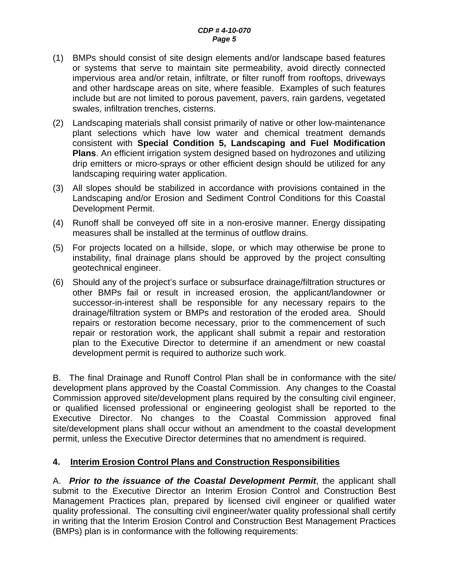- (1) BMPs should consist of site design elements and/or landscape based features or systems that serve to maintain site permeability, avoid directly connected impervious area and/or retain, infiltrate, or filter runoff from rooftops, driveways and other hardscape areas on site, where feasible. Examples of such features include but are not limited to porous pavement, pavers, rain gardens, vegetated swales, infiltration trenches, cisterns.
- (2) Landscaping materials shall consist primarily of native or other low-maintenance plant selections which have low water and chemical treatment demands consistent with **Special Condition 5, Landscaping and Fuel Modification Plans**. An efficient irrigation system designed based on hydrozones and utilizing drip emitters or micro-sprays or other efficient design should be utilized for any landscaping requiring water application.
- (3) All slopes should be stabilized in accordance with provisions contained in the Landscaping and/or Erosion and Sediment Control Conditions for this Coastal Development Permit.
- (4) Runoff shall be conveyed off site in a non-erosive manner. Energy dissipating measures shall be installed at the terminus of outflow drains.
- (5) For projects located on a hillside, slope, or which may otherwise be prone to instability, final drainage plans should be approved by the project consulting geotechnical engineer.
- (6) Should any of the project's surface or subsurface drainage/filtration structures or other BMPs fail or result in increased erosion, the applicant/landowner or successor-in-interest shall be responsible for any necessary repairs to the drainage/filtration system or BMPs and restoration of the eroded area. Should repairs or restoration become necessary, prior to the commencement of such repair or restoration work, the applicant shall submit a repair and restoration plan to the Executive Director to determine if an amendment or new coastal development permit is required to authorize such work.

B. The final Drainage and Runoff Control Plan shall be in conformance with the site/ development plans approved by the Coastal Commission. Any changes to the Coastal Commission approved site/development plans required by the consulting civil engineer, or qualified licensed professional or engineering geologist shall be reported to the Executive Director. No changes to the Coastal Commission approved final site/development plans shall occur without an amendment to the coastal development permit, unless the Executive Director determines that no amendment is required.

### <span id="page-4-0"></span>**4. Interim Erosion Control Plans and Construction Responsibilities**

A. *Prior to the issuance of the Coastal Development Permit*, the applicant shall submit to the Executive Director an Interim Erosion Control and Construction Best Management Practices plan, prepared by licensed civil engineer or qualified water quality professional. The consulting civil engineer/water quality professional shall certify in writing that the Interim Erosion Control and Construction Best Management Practices (BMPs) plan is in conformance with the following requirements: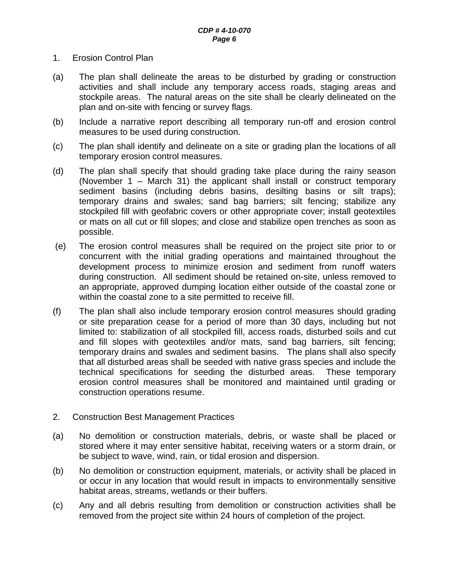- 1. Erosion Control Plan
- (a) The plan shall delineate the areas to be disturbed by grading or construction activities and shall include any temporary access roads, staging areas and stockpile areas. The natural areas on the site shall be clearly delineated on the plan and on-site with fencing or survey flags.
- (b) Include a narrative report describing all temporary run-off and erosion control measures to be used during construction.
- (c) The plan shall identify and delineate on a site or grading plan the locations of all temporary erosion control measures.
- (d) The plan shall specify that should grading take place during the rainy season (November 1 – March 31) the applicant shall install or construct temporary sediment basins (including debris basins, desilting basins or silt traps); temporary drains and swales; sand bag barriers; silt fencing; stabilize any stockpiled fill with geofabric covers or other appropriate cover; install geotextiles or mats on all cut or fill slopes; and close and stabilize open trenches as soon as possible.
- (e) The erosion control measures shall be required on the project site prior to or concurrent with the initial grading operations and maintained throughout the development process to minimize erosion and sediment from runoff waters during construction. All sediment should be retained on-site, unless removed to an appropriate, approved dumping location either outside of the coastal zone or within the coastal zone to a site permitted to receive fill.
- (f) The plan shall also include temporary erosion control measures should grading or site preparation cease for a period of more than 30 days, including but not limited to: stabilization of all stockpiled fill, access roads, disturbed soils and cut and fill slopes with geotextiles and/or mats, sand bag barriers, silt fencing; temporary drains and swales and sediment basins. The plans shall also specify that all disturbed areas shall be seeded with native grass species and include the technical specifications for seeding the disturbed areas. These temporary erosion control measures shall be monitored and maintained until grading or construction operations resume.
- 2. Construction Best Management Practices
- (a) No demolition or construction materials, debris, or waste shall be placed or stored where it may enter sensitive habitat, receiving waters or a storm drain, or be subject to wave, wind, rain, or tidal erosion and dispersion.
- (b) No demolition or construction equipment, materials, or activity shall be placed in or occur in any location that would result in impacts to environmentally sensitive habitat areas, streams, wetlands or their buffers.
- (c) Any and all debris resulting from demolition or construction activities shall be removed from the project site within 24 hours of completion of the project.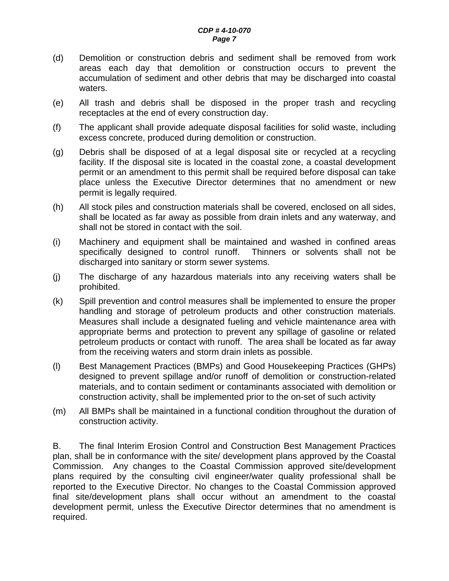- (d) Demolition or construction debris and sediment shall be removed from work areas each day that demolition or construction occurs to prevent the accumulation of sediment and other debris that may be discharged into coastal waters.
- (e) All trash and debris shall be disposed in the proper trash and recycling receptacles at the end of every construction day.
- (f) The applicant shall provide adequate disposal facilities for solid waste, including excess concrete, produced during demolition or construction.
- (g) Debris shall be disposed of at a legal disposal site or recycled at a recycling facility. If the disposal site is located in the coastal zone, a coastal development permit or an amendment to this permit shall be required before disposal can take place unless the Executive Director determines that no amendment or new permit is legally required.
- (h) All stock piles and construction materials shall be covered, enclosed on all sides, shall be located as far away as possible from drain inlets and any waterway, and shall not be stored in contact with the soil.
- (i) Machinery and equipment shall be maintained and washed in confined areas specifically designed to control runoff. Thinners or solvents shall not be discharged into sanitary or storm sewer systems.
- (j) The discharge of any hazardous materials into any receiving waters shall be prohibited.
- (k) Spill prevention and control measures shall be implemented to ensure the proper handling and storage of petroleum products and other construction materials. Measures shall include a designated fueling and vehicle maintenance area with appropriate berms and protection to prevent any spillage of gasoline or related petroleum products or contact with runoff. The area shall be located as far away from the receiving waters and storm drain inlets as possible.
- (l) Best Management Practices (BMPs) and Good Housekeeping Practices (GHPs) designed to prevent spillage and/or runoff of demolition or construction-related materials, and to contain sediment or contaminants associated with demolition or construction activity, shall be implemented prior to the on-set of such activity
- (m) All BMPs shall be maintained in a functional condition throughout the duration of construction activity.

B. The final Interim Erosion Control and Construction Best Management Practices plan, shall be in conformance with the site/ development plans approved by the Coastal Commission. Any changes to the Coastal Commission approved site/development plans required by the consulting civil engineer/water quality professional shall be reported to the Executive Director. No changes to the Coastal Commission approved final site/development plans shall occur without an amendment to the coastal development permit, unless the Executive Director determines that no amendment is required.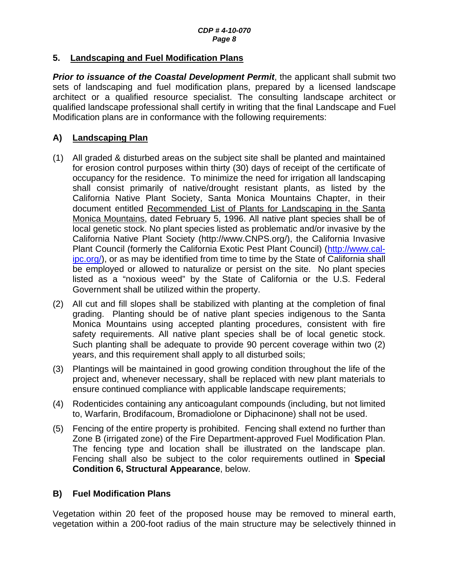#### <span id="page-7-0"></span>**5. Landscaping and Fuel Modification Plans**

**Prior to issuance of the Coastal Development Permit**, the applicant shall submit two sets of landscaping and fuel modification plans, prepared by a licensed landscape architect or a qualified resource specialist. The consulting landscape architect or qualified landscape professional shall certify in writing that the final Landscape and Fuel Modification plans are in conformance with the following requirements:

### **A) Landscaping Plan**

- (1) All graded & disturbed areas on the subject site shall be planted and maintained for erosion control purposes within thirty (30) days of receipt of the certificate of occupancy for the residence. To minimize the need for irrigation all landscaping shall consist primarily of native/drought resistant plants, as listed by the California Native Plant Society, Santa Monica Mountains Chapter, in their document entitled Recommended List of Plants for Landscaping in the Santa Monica Mountains, dated February 5, 1996. All native plant species shall be of local genetic stock. No plant species listed as problematic and/or invasive by the California Native Plant Society ([http://www.CNPS.org/](http://www.cnps.org/)), the California Invasive Plant Council (formerly the California Exotic Pest Plant Council) ([http://www.cal](http://www.cal-ipc.org/)[ipc.org/](http://www.cal-ipc.org/)), or as may be identified from time to time by the State of California shall be employed or allowed to naturalize or persist on the site. No plant species listed as a "noxious weed" by the State of California or the U.S. Federal Government shall be utilized within the property.
- (2) All cut and fill slopes shall be stabilized with planting at the completion of final grading. Planting should be of native plant species indigenous to the Santa Monica Mountains using accepted planting procedures, consistent with fire safety requirements. All native plant species shall be of local genetic stock. Such planting shall be adequate to provide 90 percent coverage within two (2) years, and this requirement shall apply to all disturbed soils;
- (3) Plantings will be maintained in good growing condition throughout the life of the project and, whenever necessary, shall be replaced with new plant materials to ensure continued compliance with applicable landscape requirements;
- (4) Rodenticides containing any anticoagulant compounds (including, but not limited to, Warfarin, Brodifacoum, Bromadiolone or Diphacinone) shall not be used.
- (5) Fencing of the entire property is prohibited. Fencing shall extend no further than Zone B (irrigated zone) of the Fire Department-approved Fuel Modification Plan. The fencing type and location shall be illustrated on the landscape plan. Fencing shall also be subject to the color requirements outlined in **Special Condition [6](#page-8-0), Structural Appearance**, below.

### **B) Fuel Modification Plans**

Vegetation within 20 feet of the proposed house may be removed to mineral earth, vegetation within a 200-foot radius of the main structure may be selectively thinned in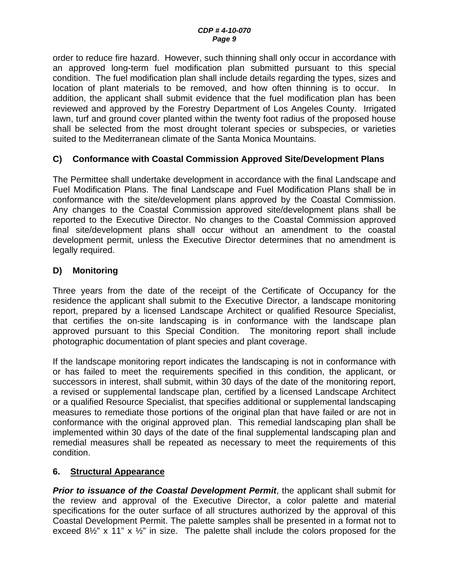order to reduce fire hazard. However, such thinning shall only occur in accordance with an approved long-term fuel modification plan submitted pursuant to this special condition. The fuel modification plan shall include details regarding the types, sizes and location of plant materials to be removed, and how often thinning is to occur. In addition, the applicant shall submit evidence that the fuel modification plan has been reviewed and approved by the Forestry Department of Los Angeles County. Irrigated lawn, turf and ground cover planted within the twenty foot radius of the proposed house shall be selected from the most drought tolerant species or subspecies, or varieties suited to the Mediterranean climate of the Santa Monica Mountains.

### **C) Conformance with Coastal Commission Approved Site/Development Plans**

The Permittee shall undertake development in accordance with the final Landscape and Fuel Modification Plans. The final Landscape and Fuel Modification Plans shall be in conformance with the site/development plans approved by the Coastal Commission. Any changes to the Coastal Commission approved site/development plans shall be reported to the Executive Director. No changes to the Coastal Commission approved final site/development plans shall occur without an amendment to the coastal development permit, unless the Executive Director determines that no amendment is legally required.

### **D) Monitoring**

Three years from the date of the receipt of the Certificate of Occupancy for the residence the applicant shall submit to the Executive Director, a landscape monitoring report, prepared by a licensed Landscape Architect or qualified Resource Specialist, that certifies the on-site landscaping is in conformance with the landscape plan approved pursuant to this Special Condition. The monitoring report shall include photographic documentation of plant species and plant coverage.

If the landscape monitoring report indicates the landscaping is not in conformance with or has failed to meet the requirements specified in this condition, the applicant, or successors in interest, shall submit, within 30 days of the date of the monitoring report, a revised or supplemental landscape plan, certified by a licensed Landscape Architect or a qualified Resource Specialist, that specifies additional or supplemental landscaping measures to remediate those portions of the original plan that have failed or are not in conformance with the original approved plan. This remedial landscaping plan shall be implemented within 30 days of the date of the final supplemental landscaping plan and remedial measures shall be repeated as necessary to meet the requirements of this condition.

#### <span id="page-8-0"></span>**6. Structural Appearance**

*Prior to issuance of the Coastal Development Permit*, the applicant shall submit for the review and approval of the Executive Director, a color palette and material specifications for the outer surface of all structures authorized by the approval of this Coastal Development Permit. The palette samples shall be presented in a format not to exceed  $8\frac{1}{2}$ " x 11" x  $\frac{1}{2}$ " in size. The palette shall include the colors proposed for the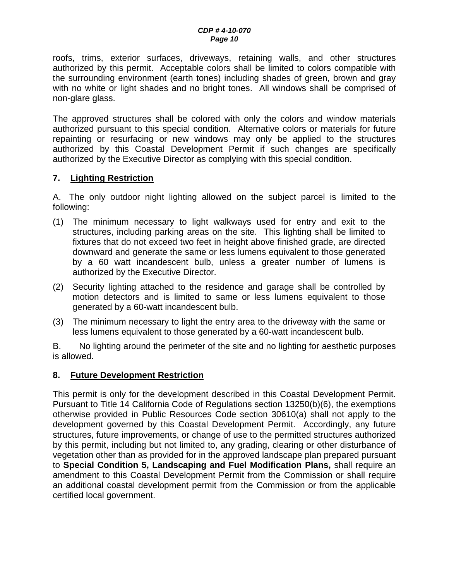roofs, trims, exterior surfaces, driveways, retaining walls, and other structures authorized by this permit. Acceptable colors shall be limited to colors compatible with the surrounding environment (earth tones) including shades of green, brown and gray with no white or light shades and no bright tones. All windows shall be comprised of non-glare glass.

The approved structures shall be colored with only the colors and window materials authorized pursuant to this special condition. Alternative colors or materials for future repainting or resurfacing or new windows may only be applied to the structures authorized by this Coastal Development Permit if such changes are specifically authorized by the Executive Director as complying with this special condition.

### <span id="page-9-0"></span>**7. Lighting Restriction**

A. The only outdoor night lighting allowed on the subject parcel is limited to the following:

- (1) The minimum necessary to light walkways used for entry and exit to the structures, including parking areas on the site. This lighting shall be limited to fixtures that do not exceed two feet in height above finished grade, are directed downward and generate the same or less lumens equivalent to those generated by a 60 watt incandescent bulb, unless a greater number of lumens is authorized by the Executive Director.
- (2) Security lighting attached to the residence and garage shall be controlled by motion detectors and is limited to same or less lumens equivalent to those generated by a 60-watt incandescent bulb.
- (3) The minimum necessary to light the entry area to the driveway with the same or less lumens equivalent to those generated by a 60-watt incandescent bulb.

B. No lighting around the perimeter of the site and no lighting for aesthetic purposes is allowed.

#### <span id="page-9-1"></span>**8. Future Development Restriction**

This permit is only for the development described in this Coastal Development Permit. Pursuant to Title 14 California Code of Regulations section 13250(b)(6), the exemptions otherwise provided in Public Resources Code section 30610(a) shall not apply to the development governed by this Coastal Development Permit. Accordingly, any future structures, future improvements, or change of use to the permitted structures authorized by this permit, including but not limited to, any grading, clearing or other disturbance of vegetation other than as provided for in the approved landscape plan prepared pursuant to **Special Condition 5, Landscaping and Fuel Modification Plans,** shall require an amendment to this Coastal Development Permit from the Commission or shall require an additional coastal development permit from the Commission or from the applicable certified local government.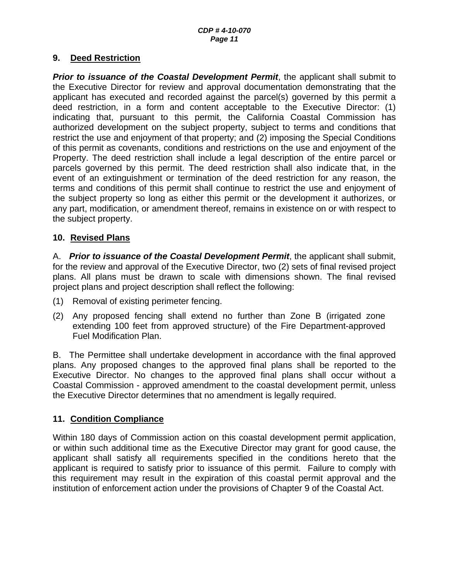#### <span id="page-10-0"></span>**9. Deed Restriction**

*Prior to issuance of the Coastal Development Permit*, the applicant shall submit to the Executive Director for review and approval documentation demonstrating that the applicant has executed and recorded against the parcel(s) governed by this permit a deed restriction, in a form and content acceptable to the Executive Director: (1) indicating that, pursuant to this permit, the California Coastal Commission has authorized development on the subject property, subject to terms and conditions that restrict the use and enjoyment of that property; and (2) imposing the Special Conditions of this permit as covenants, conditions and restrictions on the use and enjoyment of the Property. The deed restriction shall include a legal description of the entire parcel or parcels governed by this permit. The deed restriction shall also indicate that, in the event of an extinguishment or termination of the deed restriction for any reason, the terms and conditions of this permit shall continue to restrict the use and enjoyment of the subject property so long as either this permit or the development it authorizes, or any part, modification, or amendment thereof, remains in existence on or with respect to the subject property.

### <span id="page-10-1"></span>**10. Revised Plans**

A. *Prior to issuance of the Coastal Development Permit*, the applicant shall submit, for the review and approval of the Executive Director, two (2) sets of final revised project plans. All plans must be drawn to scale with dimensions shown. The final revised project plans and project description shall reflect the following:

- (1) Removal of existing perimeter fencing.
- (2) Any proposed fencing shall extend no further than Zone B (irrigated zone extending 100 feet from approved structure) of the Fire Department-approved Fuel Modification Plan.

B. The Permittee shall undertake development in accordance with the final approved plans. Any proposed changes to the approved final plans shall be reported to the Executive Director. No changes to the approved final plans shall occur without a Coastal Commission - approved amendment to the coastal development permit, unless the Executive Director determines that no amendment is legally required.

#### <span id="page-10-2"></span>**11. Condition Compliance**

Within 180 days of Commission action on this coastal development permit application, or within such additional time as the Executive Director may grant for good cause, the applicant shall satisfy all requirements specified in the conditions hereto that the applicant is required to satisfy prior to issuance of this permit. Failure to comply with this requirement may result in the expiration of this coastal permit approval and the institution of enforcement action under the provisions of Chapter 9 of the Coastal Act.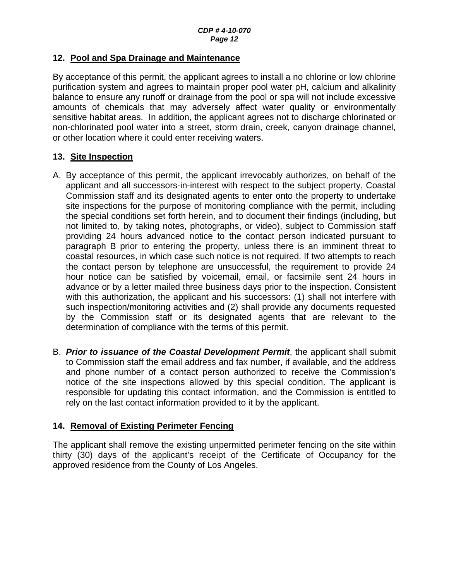#### <span id="page-11-0"></span>**12. Pool and Spa Drainage and Maintenance**

By acceptance of this permit, the applicant agrees to install a no chlorine or low chlorine purification system and agrees to maintain proper pool water pH, calcium and alkalinity balance to ensure any runoff or drainage from the pool or spa will not include excessive amounts of chemicals that may adversely affect water quality or environmentally sensitive habitat areas. In addition, the applicant agrees not to discharge chlorinated or non-chlorinated pool water into a street, storm drain, creek, canyon drainage channel, or other location where it could enter receiving waters.

### <span id="page-11-1"></span>**13. Site Inspection**

- A. By acceptance of this permit, the applicant irrevocably authorizes, on behalf of the applicant and all successors-in-interest with respect to the subject property, Coastal Commission staff and its designated agents to enter onto the property to undertake site inspections for the purpose of monitoring compliance with the permit, including the special conditions set forth herein, and to document their findings (including, but not limited to, by taking notes, photographs, or video), subject to Commission staff providing 24 hours advanced notice to the contact person indicated pursuant to paragraph B prior to entering the property, unless there is an imminent threat to coastal resources, in which case such notice is not required. If two attempts to reach the contact person by telephone are unsuccessful, the requirement to provide 24 hour notice can be satisfied by voicemail, email, or facsimile sent 24 hours in advance or by a letter mailed three business days prior to the inspection. Consistent with this authorization, the applicant and his successors: (1) shall not interfere with such inspection/monitoring activities and (2) shall provide any documents requested by the Commission staff or its designated agents that are relevant to the determination of compliance with the terms of this permit.
- B. *Prior to issuance of the Coastal Development Permit*, the applicant shall submit to Commission staff the email address and fax number, if available, and the address and phone number of a contact person authorized to receive the Commission's notice of the site inspections allowed by this special condition. The applicant is responsible for updating this contact information, and the Commission is entitled to rely on the last contact information provided to it by the applicant.

### <span id="page-11-2"></span>**14. Removal of Existing Perimeter Fencing**

The applicant shall remove the existing unpermitted perimeter fencing on the site within thirty (30) days of the applicant's receipt of the Certificate of Occupancy for the approved residence from the County of Los Angeles.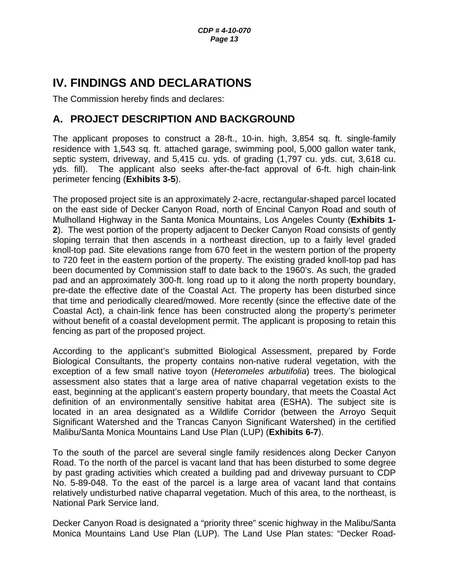# <span id="page-12-0"></span>**IV. FINDINGS AND DECLARATIONS**

The Commission hereby finds and declares:

## <span id="page-12-1"></span>**A. PROJECT DESCRIPTION AND BACKGROUND**

The applicant proposes to construct a 28-ft., 10-in. high, 3,854 sq. ft. single-family residence with 1,543 sq. ft. attached garage, swimming pool, 5,000 gallon water tank, septic system, driveway, and 5,415 cu. yds. of grading (1,797 cu. yds. cut, 3,618 cu. yds. fill). The applicant also seeks after-the-fact approval of 6-ft. high chain-link perimeter fencing (**Exhibits 3-5**).

The proposed project site is an approximately 2-acre, rectangular-shaped parcel located on the east side of Decker Canyon Road, north of Encinal Canyon Road and south of Mulholland Highway in the Santa Monica Mountains, Los Angeles County (**Exhibits 1- 2**). The west portion of the property adjacent to Decker Canyon Road consists of gently sloping terrain that then ascends in a northeast direction, up to a fairly level graded knoll-top pad. Site elevations range from 670 feet in the western portion of the property to 720 feet in the eastern portion of the property. The existing graded knoll-top pad has been documented by Commission staff to date back to the 1960's. As such, the graded pad and an approximately 300-ft. long road up to it along the north property boundary, pre-date the effective date of the Coastal Act. The property has been disturbed since that time and periodically cleared/mowed. More recently (since the effective date of the Coastal Act), a chain-link fence has been constructed along the property's perimeter without benefit of a coastal development permit. The applicant is proposing to retain this fencing as part of the proposed project.

According to the applicant's submitted Biological Assessment, prepared by Forde Biological Consultants, the property contains non-native ruderal vegetation, with the exception of a few small native toyon (*Heteromeles arbutifolia*) trees. The biological assessment also states that a large area of native chaparral vegetation exists to the east, beginning at the applicant's eastern property boundary, that meets the Coastal Act definition of an environmentally sensitive habitat area (ESHA). The subject site is located in an area designated as a Wildlife Corridor (between the Arroyo Sequit Significant Watershed and the Trancas Canyon Significant Watershed) in the certified Malibu/Santa Monica Mountains Land Use Plan (LUP) (**Exhibits 6-7**).

To the south of the parcel are several single family residences along Decker Canyon Road. To the north of the parcel is vacant land that has been disturbed to some degree by past grading activities which created a building pad and driveway pursuant to CDP No. 5-89-048. To the east of the parcel is a large area of vacant land that contains relatively undisturbed native chaparral vegetation. Much of this area, to the northeast, is National Park Service land.

Decker Canyon Road is designated a "priority three" scenic highway in the Malibu/Santa Monica Mountains Land Use Plan (LUP). The Land Use Plan states: "Decker Road-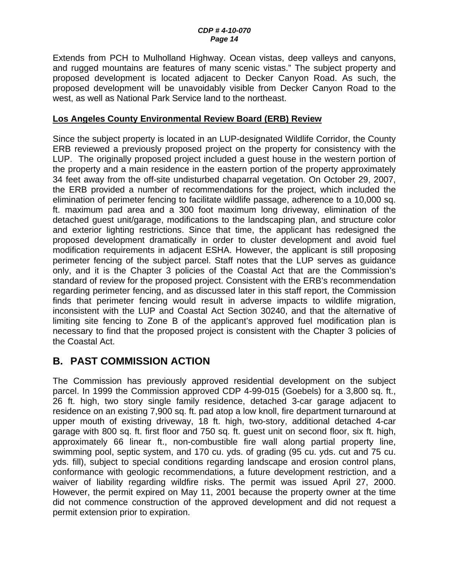Extends from PCH to Mulholland Highway. Ocean vistas, deep valleys and canyons, and rugged mountains are features of many scenic vistas." The subject property and proposed development is located adjacent to Decker Canyon Road. As such, the proposed development will be unavoidably visible from Decker Canyon Road to the west, as well as National Park Service land to the northeast.

#### **Los Angeles County Environmental Review Board (ERB) Review**

Since the subject property is located in an LUP-designated Wildlife Corridor, the County ERB reviewed a previously proposed project on the property for consistency with the LUP. The originally proposed project included a guest house in the western portion of the property and a main residence in the eastern portion of the property approximately 34 feet away from the off-site undisturbed chaparral vegetation. On October 29, 2007, the ERB provided a number of recommendations for the project, which included the elimination of perimeter fencing to facilitate wildlife passage, adherence to a 10,000 sq. ft. maximum pad area and a 300 foot maximum long driveway, elimination of the detached guest unit/garage, modifications to the landscaping plan, and structure color and exterior lighting restrictions. Since that time, the applicant has redesigned the proposed development dramatically in order to cluster development and avoid fuel modification requirements in adjacent ESHA. However, the applicant is still proposing perimeter fencing of the subject parcel. Staff notes that the LUP serves as guidance only, and it is the Chapter 3 policies of the Coastal Act that are the Commission's standard of review for the proposed project. Consistent with the ERB's recommendation regarding perimeter fencing, and as discussed later in this staff report, the Commission finds that perimeter fencing would result in adverse impacts to wildlife migration, inconsistent with the LUP and Coastal Act Section 30240, and that the alternative of limiting site fencing to Zone B of the applicant's approved fuel modification plan is necessary to find that the proposed project is consistent with the Chapter 3 policies of the Coastal Act.

## <span id="page-13-0"></span>**B. PAST COMMISSION ACTION**

The Commission has previously approved residential development on the subject parcel. In 1999 the Commission approved CDP 4-99-015 (Goebels) for a 3,800 sq. ft., 26 ft. high, two story single family residence, detached 3-car garage adjacent to residence on an existing 7,900 sq. ft. pad atop a low knoll, fire department turnaround at upper mouth of existing driveway, 18 ft. high, two-story, additional detached 4-car garage with 800 sq. ft. first floor and 750 sq. ft. guest unit on second floor, six ft. high, approximately 66 linear ft., non-combustible fire wall along partial property line, swimming pool, septic system, and 170 cu. yds. of grading (95 cu. yds. cut and 75 cu. yds. fill), subject to special conditions regarding landscape and erosion control plans, conformance with geologic recommendations, a future development restriction, and a waiver of liability regarding wildfire risks. The permit was issued April 27, 2000. However, the permit expired on May 11, 2001 because the property owner at the time did not commence construction of the approved development and did not request a permit extension prior to expiration.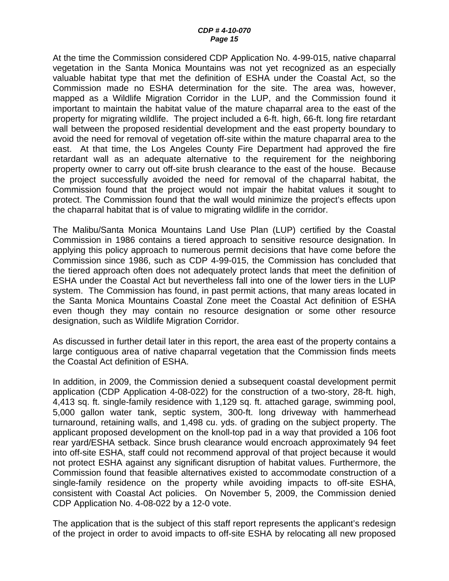At the time the Commission considered CDP Application No. 4-99-015, native chaparral vegetation in the Santa Monica Mountains was not yet recognized as an especially valuable habitat type that met the definition of ESHA under the Coastal Act, so the Commission made no ESHA determination for the site. The area was, however, mapped as a Wildlife Migration Corridor in the LUP, and the Commission found it important to maintain the habitat value of the mature chaparral area to the east of the property for migrating wildlife. The project included a 6-ft. high, 66-ft. long fire retardant wall between the proposed residential development and the east property boundary to avoid the need for removal of vegetation off-site within the mature chaparral area to the east. At that time, the Los Angeles County Fire Department had approved the fire retardant wall as an adequate alternative to the requirement for the neighboring property owner to carry out off-site brush clearance to the east of the house. Because the project successfully avoided the need for removal of the chaparral habitat, the Commission found that the project would not impair the habitat values it sought to protect. The Commission found that the wall would minimize the project's effects upon the chaparral habitat that is of value to migrating wildlife in the corridor.

The Malibu/Santa Monica Mountains Land Use Plan (LUP) certified by the Coastal Commission in 1986 contains a tiered approach to sensitive resource designation. In applying this policy approach to numerous permit decisions that have come before the Commission since 1986, such as CDP 4-99-015, the Commission has concluded that the tiered approach often does not adequately protect lands that meet the definition of ESHA under the Coastal Act but nevertheless fall into one of the lower tiers in the LUP system. The Commission has found, in past permit actions, that many areas located in the Santa Monica Mountains Coastal Zone meet the Coastal Act definition of ESHA even though they may contain no resource designation or some other resource designation, such as Wildlife Migration Corridor.

As discussed in further detail later in this report, the area east of the property contains a large contiguous area of native chaparral vegetation that the Commission finds meets the Coastal Act definition of ESHA.

In addition, in 2009, the Commission denied a subsequent coastal development permit application (CDP Application 4-08-022) for the construction of a two-story, 28-ft. high, 4,413 sq. ft. single-family residence with 1,129 sq. ft. attached garage, swimming pool, 5,000 gallon water tank, septic system, 300-ft. long driveway with hammerhead turnaround, retaining walls, and 1,498 cu. yds. of grading on the subject property. The applicant proposed development on the knoll-top pad in a way that provided a 106 foot rear yard/ESHA setback. Since brush clearance would encroach approximately 94 feet into off-site ESHA, staff could not recommend approval of that project because it would not protect ESHA against any significant disruption of habitat values. Furthermore, the Commission found that feasible alternatives existed to accommodate construction of a single-family residence on the property while avoiding impacts to off-site ESHA, consistent with Coastal Act policies. On November 5, 2009, the Commission denied CDP Application No. 4-08-022 by a 12-0 vote.

The application that is the subject of this staff report represents the applicant's redesign of the project in order to avoid impacts to off-site ESHA by relocating all new proposed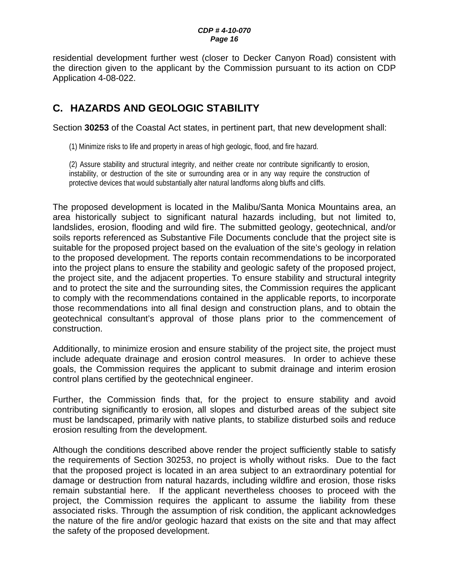#### *CDP # 4-10-070 Page 16*

residential development further west (closer to Decker Canyon Road) consistent with the direction given to the applicant by the Commission pursuant to its action on CDP Application 4-08-022.

## <span id="page-15-0"></span>**C. HAZARDS AND GEOLOGIC STABILITY**

Section **30253** of the Coastal Act states, in pertinent part, that new development shall:

(1) Minimize risks to life and property in areas of high geologic, flood, and fire hazard.

(2) Assure stability and structural integrity, and neither create nor contribute significantly to erosion, instability, or destruction of the site or surrounding area or in any way require the construction of protective devices that would substantially alter natural landforms along bluffs and cliffs.

The proposed development is located in the Malibu/Santa Monica Mountains area, an area historically subject to significant natural hazards including, but not limited to, landslides, erosion, flooding and wild fire. The submitted geology, geotechnical, and/or soils reports referenced as Substantive File Documents conclude that the project site is suitable for the proposed project based on the evaluation of the site's geology in relation to the proposed development. The reports contain recommendations to be incorporated into the project plans to ensure the stability and geologic safety of the proposed project, the project site, and the adjacent properties. To ensure stability and structural integrity and to protect the site and the surrounding sites, the Commission requires the applicant to comply with the recommendations contained in the applicable reports, to incorporate those recommendations into all final design and construction plans, and to obtain the geotechnical consultant's approval of those plans prior to the commencement of construction.

Additionally, to minimize erosion and ensure stability of the project site, the project must include adequate drainage and erosion control measures. In order to achieve these goals, the Commission requires the applicant to submit drainage and interim erosion control plans certified by the geotechnical engineer.

Further, the Commission finds that, for the project to ensure stability and avoid contributing significantly to erosion, all slopes and disturbed areas of the subject site must be landscaped, primarily with native plants, to stabilize disturbed soils and reduce erosion resulting from the development.

Although the conditions described above render the project sufficiently stable to satisfy the requirements of Section 30253, no project is wholly without risks. Due to the fact that the proposed project is located in an area subject to an extraordinary potential for damage or destruction from natural hazards, including wildfire and erosion, those risks remain substantial here. If the applicant nevertheless chooses to proceed with the project, the Commission requires the applicant to assume the liability from these associated risks. Through the assumption of risk condition, the applicant acknowledges the nature of the fire and/or geologic hazard that exists on the site and that may affect the safety of the proposed development.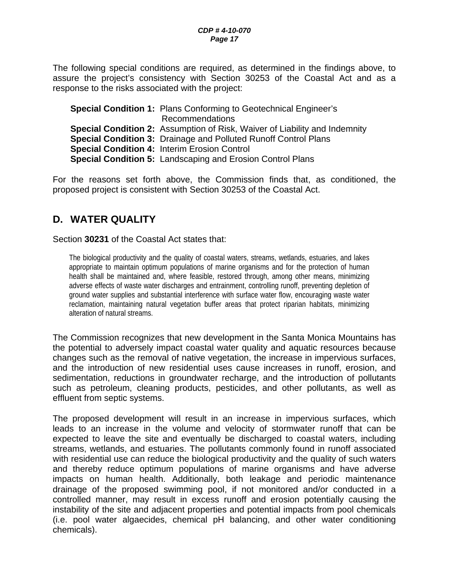The following special conditions are required, as determined in the findings above, to assure the project's consistency with Section 30253 of the Coastal Act and as a response to the risks associated with the project:

**Special Condition 1:** Plans Conforming to Geotechnical Engineer's Recommendations **Special Condition 2:** Assumption of Risk, Waiver of Liability and Indemnity **Special Condition 3:** Drainage and Polluted Runoff Control Plans **Special Condition 4:** Interim Erosion Control **Special Condition 5:** Landscaping and Erosion Control Plans

For the reasons set forth above, the Commission finds that, as conditioned, the proposed project is consistent with Section 30253 of the Coastal Act.

## <span id="page-16-0"></span>**D. WATER QUALITY**

Section **30231** of the Coastal Act states that:

The biological productivity and the quality of coastal waters, streams, wetlands, estuaries, and lakes appropriate to maintain optimum populations of marine organisms and for the protection of human health shall be maintained and, where feasible, restored through, among other means, minimizing adverse effects of waste water discharges and entrainment, controlling runoff, preventing depletion of ground water supplies and substantial interference with surface water flow, encouraging waste water reclamation, maintaining natural vegetation buffer areas that protect riparian habitats, minimizing alteration of natural streams.

The Commission recognizes that new development in the Santa Monica Mountains has the potential to adversely impact coastal water quality and aquatic resources because changes such as the removal of native vegetation, the increase in impervious surfaces, and the introduction of new residential uses cause increases in runoff, erosion, and sedimentation, reductions in groundwater recharge, and the introduction of pollutants such as petroleum, cleaning products, pesticides, and other pollutants, as well as effluent from septic systems.

The proposed development will result in an increase in impervious surfaces, which leads to an increase in the volume and velocity of stormwater runoff that can be expected to leave the site and eventually be discharged to coastal waters, including streams, wetlands, and estuaries. The pollutants commonly found in runoff associated with residential use can reduce the biological productivity and the quality of such waters and thereby reduce optimum populations of marine organisms and have adverse impacts on human health. Additionally, both leakage and periodic maintenance drainage of the proposed swimming pool, if not monitored and/or conducted in a controlled manner, may result in excess runoff and erosion potentially causing the instability of the site and adjacent properties and potential impacts from pool chemicals (i.e. pool water algaecides, chemical pH balancing, and other water conditioning chemicals).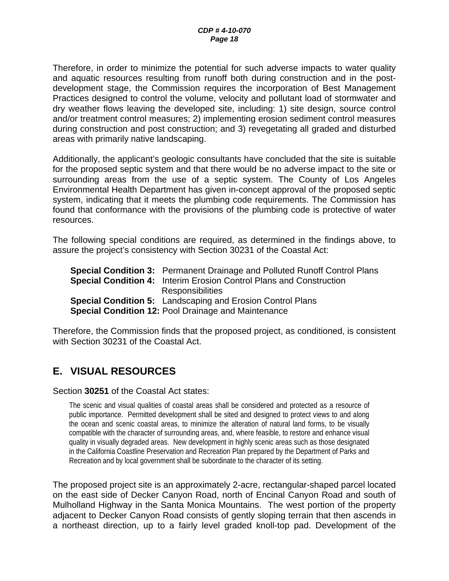Therefore, in order to minimize the potential for such adverse impacts to water quality and aquatic resources resulting from runoff both during construction and in the postdevelopment stage, the Commission requires the incorporation of Best Management Practices designed to control the volume, velocity and pollutant load of stormwater and dry weather flows leaving the developed site, including: 1) site design, source control and/or treatment control measures; 2) implementing erosion sediment control measures during construction and post construction; and 3) revegetating all graded and disturbed areas with primarily native landscaping.

Additionally, the applicant's geologic consultants have concluded that the site is suitable for the proposed septic system and that there would be no adverse impact to the site or surrounding areas from the use of a septic system. The County of Los Angeles Environmental Health Department has given in-concept approval of the proposed septic system, indicating that it meets the plumbing code requirements. The Commission has found that conformance with the provisions of the plumbing code is protective of water resources.

The following special conditions are required, as determined in the findings above, to assure the project's consistency with Section 30231 of the Coastal Act:

**Special Condition 3:** Permanent Drainage and Polluted Runoff Control Plans **Special Condition 4:** Interim Erosion Control Plans and Construction **Responsibilities Special Condition 5:** Landscaping and Erosion Control Plans **Special Condition 12:** Pool Drainage and Maintenance

Therefore, the Commission finds that the proposed project, as conditioned, is consistent with Section 30231 of the Coastal Act.

## <span id="page-17-0"></span>**E. VISUAL RESOURCES**

#### Section **30251** of the Coastal Act states:

The scenic and visual qualities of coastal areas shall be considered and protected as a resource of public importance. Permitted development shall be sited and designed to protect views to and along the ocean and scenic coastal areas, to minimize the alteration of natural land forms, to be visually compatible with the character of surrounding areas, and, where feasible, to restore and enhance visual quality in visually degraded areas. New development in highly scenic areas such as those designated in the California Coastline Preservation and Recreation Plan prepared by the Department of Parks and Recreation and by local government shall be subordinate to the character of its setting.

The proposed project site is an approximately 2-acre, rectangular-shaped parcel located on the east side of Decker Canyon Road, north of Encinal Canyon Road and south of Mulholland Highway in the Santa Monica Mountains. The west portion of the property adjacent to Decker Canyon Road consists of gently sloping terrain that then ascends in a northeast direction, up to a fairly level graded knoll-top pad. Development of the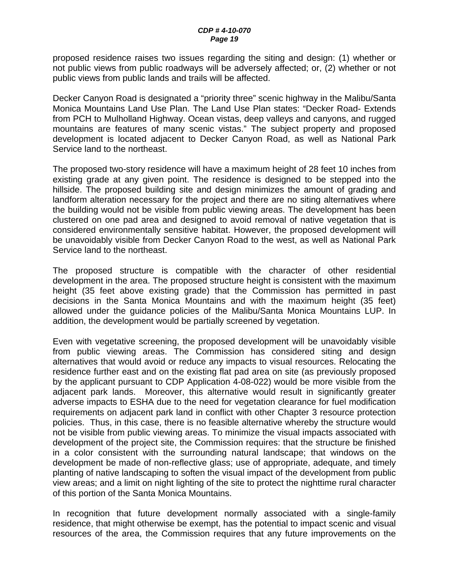proposed residence raises two issues regarding the siting and design: (1) whether or not public views from public roadways will be adversely affected; or, (2) whether or not public views from public lands and trails will be affected.

Decker Canyon Road is designated a "priority three" scenic highway in the Malibu/Santa Monica Mountains Land Use Plan. The Land Use Plan states: "Decker Road- Extends from PCH to Mulholland Highway. Ocean vistas, deep valleys and canyons, and rugged mountains are features of many scenic vistas." The subject property and proposed development is located adjacent to Decker Canyon Road, as well as National Park Service land to the northeast.

The proposed two-story residence will have a maximum height of 28 feet 10 inches from existing grade at any given point. The residence is designed to be stepped into the hillside. The proposed building site and design minimizes the amount of grading and landform alteration necessary for the project and there are no siting alternatives where the building would not be visible from public viewing areas. The development has been clustered on one pad area and designed to avoid removal of native vegetation that is considered environmentally sensitive habitat. However, the proposed development will be unavoidably visible from Decker Canyon Road to the west, as well as National Park Service land to the northeast.

The proposed structure is compatible with the character of other residential development in the area. The proposed structure height is consistent with the maximum height (35 feet above existing grade) that the Commission has permitted in past decisions in the Santa Monica Mountains and with the maximum height (35 feet) allowed under the guidance policies of the Malibu/Santa Monica Mountains LUP. In addition, the development would be partially screened by vegetation.

Even with vegetative screening, the proposed development will be unavoidably visible from public viewing areas. The Commission has considered siting and design alternatives that would avoid or reduce any impacts to visual resources. Relocating the residence further east and on the existing flat pad area on site (as previously proposed by the applicant pursuant to CDP Application 4-08-022) would be more visible from the adjacent park lands. Moreover, this alternative would result in significantly greater adverse impacts to ESHA due to the need for vegetation clearance for fuel modification requirements on adjacent park land in conflict with other Chapter 3 resource protection policies. Thus, in this case, there is no feasible alternative whereby the structure would not be visible from public viewing areas. To minimize the visual impacts associated with development of the project site, the Commission requires: that the structure be finished in a color consistent with the surrounding natural landscape; that windows on the development be made of non-reflective glass; use of appropriate, adequate, and timely planting of native landscaping to soften the visual impact of the development from public view areas; and a limit on night lighting of the site to protect the nighttime rural character of this portion of the Santa Monica Mountains.

In recognition that future development normally associated with a single-family residence, that might otherwise be exempt, has the potential to impact scenic and visual resources of the area, the Commission requires that any future improvements on the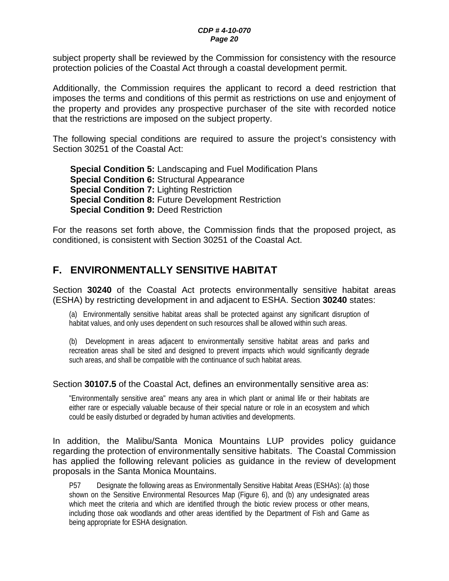#### *CDP # 4-10-070 Page 20*

subject property shall be reviewed by the Commission for consistency with the resource protection policies of the Coastal Act through a coastal development permit.

Additionally, the Commission requires the applicant to record a deed restriction that imposes the terms and conditions of this permit as restrictions on use and enjoyment of the property and provides any prospective purchaser of the site with recorded notice that the restrictions are imposed on the subject property.

The following special conditions are required to assure the project's consistency with Section 30251 of the Coastal Act:

**Special Condition 5:** Landscaping and Fuel Modification Plans **Special Condition 6:** Structural Appearance **Special Condition 7:** Lighting Restriction **Special Condition 8:** Future Development Restriction **Special Condition 9:** Deed Restriction

For the reasons set forth above, the Commission finds that the proposed project, as conditioned, is consistent with Section 30251 of the Coastal Act.

## <span id="page-19-0"></span>**F. ENVIRONMENTALLY SENSITIVE HABITAT**

Section **30240** of the Coastal Act protects environmentally sensitive habitat areas (ESHA) by restricting development in and adjacent to ESHA. Section **30240** states:

(a) Environmentally sensitive habitat areas shall be protected against any significant disruption of habitat values, and only uses dependent on such resources shall be allowed within such areas.

(b) Development in areas adjacent to environmentally sensitive habitat areas and parks and recreation areas shall be sited and designed to prevent impacts which would significantly degrade such areas, and shall be compatible with the continuance of such habitat areas.

#### Section **30107.5** of the Coastal Act, defines an environmentally sensitive area as:

"Environmentally sensitive area" means any area in which plant or animal life or their habitats are either rare or especially valuable because of their special nature or role in an ecosystem and which could be easily disturbed or degraded by human activities and developments.

In addition, the Malibu/Santa Monica Mountains LUP provides policy guidance regarding the protection of environmentally sensitive habitats. The Coastal Commission has applied the following relevant policies as guidance in the review of development proposals in the Santa Monica Mountains.

P57 Designate the following areas as Environmentally Sensitive Habitat Areas (ESHAs): (a) those shown on the Sensitive Environmental Resources Map (Figure 6), and (b) any undesignated areas which meet the criteria and which are identified through the biotic review process or other means, including those oak woodlands and other areas identified by the Department of Fish and Game as being appropriate for ESHA designation.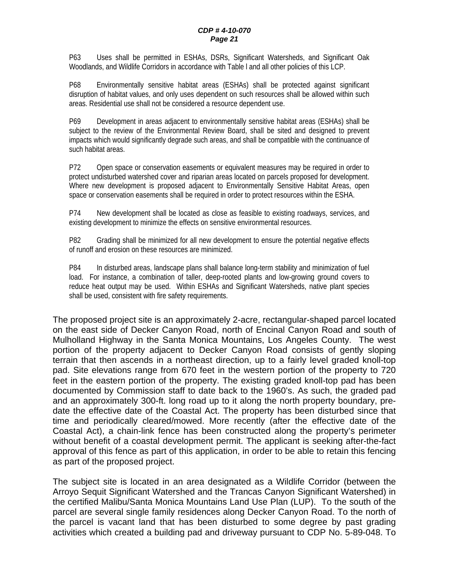P63 Uses shall be permitted in ESHAs, DSRs, Significant Watersheds, and Significant Oak Woodlands, and Wildlife Corridors in accordance with Table l and all other policies of this LCP.

P68 Environmentally sensitive habitat areas (ESHAs) shall be protected against significant disruption of habitat values, and only uses dependent on such resources shall be allowed within such areas. Residential use shall not be considered a resource dependent use.

P69 Development in areas adjacent to environmentally sensitive habitat areas (ESHAs) shall be subject to the review of the Environmental Review Board, shall be sited and designed to prevent impacts which would significantly degrade such areas, and shall be compatible with the continuance of such habitat areas.

P72 Open space or conservation easements or equivalent measures may be required in order to protect undisturbed watershed cover and riparian areas located on parcels proposed for development. Where new development is proposed adjacent to Environmentally Sensitive Habitat Areas, open space or conservation easements shall be required in order to protect resources within the ESHA.

P74 New development shall be located as close as feasible to existing roadways, services, and existing development to minimize the effects on sensitive environmental resources.

P82 Grading shall be minimized for all new development to ensure the potential negative effects of runoff and erosion on these resources are minimized.

P84 In disturbed areas, landscape plans shall balance long-term stability and minimization of fuel load. For instance, a combination of taller, deep-rooted plants and low-growing ground covers to reduce heat output may be used. Within ESHAs and Significant Watersheds, native plant species shall be used, consistent with fire safety requirements.

The proposed project site is an approximately 2-acre, rectangular-shaped parcel located on the east side of Decker Canyon Road, north of Encinal Canyon Road and south of Mulholland Highway in the Santa Monica Mountains, Los Angeles County. The west portion of the property adjacent to Decker Canyon Road consists of gently sloping terrain that then ascends in a northeast direction, up to a fairly level graded knoll-top pad. Site elevations range from 670 feet in the western portion of the property to 720 feet in the eastern portion of the property. The existing graded knoll-top pad has been documented by Commission staff to date back to the 1960's. As such, the graded pad and an approximately 300-ft. long road up to it along the north property boundary, predate the effective date of the Coastal Act. The property has been disturbed since that time and periodically cleared/mowed. More recently (after the effective date of the Coastal Act), a chain-link fence has been constructed along the property's perimeter without benefit of a coastal development permit. The applicant is seeking after-the-fact approval of this fence as part of this application, in order to be able to retain this fencing as part of the proposed project.

The subject site is located in an area designated as a Wildlife Corridor (between the Arroyo Sequit Significant Watershed and the Trancas Canyon Significant Watershed) in the certified Malibu/Santa Monica Mountains Land Use Plan (LUP). To the south of the parcel are several single family residences along Decker Canyon Road. To the north of the parcel is vacant land that has been disturbed to some degree by past grading activities which created a building pad and driveway pursuant to CDP No. 5-89-048. To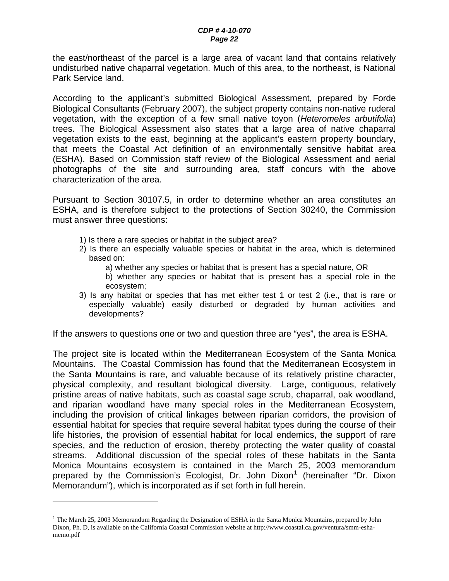the east/northeast of the parcel is a large area of vacant land that contains relatively undisturbed native chaparral vegetation. Much of this area, to the northeast, is National Park Service land.

According to the applicant's submitted Biological Assessment, prepared by Forde Biological Consultants (February 2007), the subject property contains non-native ruderal vegetation, with the exception of a few small native toyon (*Heteromeles arbutifolia*) trees. The Biological Assessment also states that a large area of native chaparral vegetation exists to the east, beginning at the applicant's eastern property boundary, that meets the Coastal Act definition of an environmentally sensitive habitat area (ESHA). Based on Commission staff review of the Biological Assessment and aerial photographs of the site and surrounding area, staff concurs with the above characterization of the area.

Pursuant to Section 30107.5, in order to determine whether an area constitutes an ESHA, and is therefore subject to the protections of Section 30240, the Commission must answer three questions:

- 1) Is there a rare species or habitat in the subject area?
- 2) Is there an especially valuable species or habitat in the area, which is determined based on:
	- a) whether any species or habitat that is present has a special nature, OR
	- b) whether any species or habitat that is present has a special role in the ecosystem;
- 3) Is any habitat or species that has met either test 1 or test 2 (i.e., that is rare or especially valuable) easily disturbed or degraded by human activities and developments?

If the answers to questions one or two and question three are "yes", the area is ESHA.

The project site is located within the Mediterranean Ecosystem of the Santa Monica Mountains. The Coastal Commission has found that the Mediterranean Ecosystem in the Santa Mountains is rare, and valuable because of its relatively pristine character, physical complexity, and resultant biological diversity. Large, contiguous, relatively pristine areas of native habitats, such as coastal sage scrub, chaparral, oak woodland, and riparian woodland have many special roles in the Mediterranean Ecosystem, including the provision of critical linkages between riparian corridors, the provision of essential habitat for species that require several habitat types during the course of their life histories, the provision of essential habitat for local endemics, the support of rare species, and the reduction of erosion, thereby protecting the water quality of coastal streams. Additional discussion of the special roles of these habitats in the Santa Monica Mountains ecosystem is contained in the March 25, 2003 memorandum prepared by the Commission's Ecologist, Dr. John Dixon<sup>[1](#page-0-0)</sup> (hereinafter "Dr. Dixon Memorandum"), which is incorporated as if set forth in full herein.

 $\overline{a}$ 

<span id="page-21-0"></span><sup>&</sup>lt;sup>1</sup> The March 25, 2003 Memorandum Regarding the Designation of ESHA in the Santa Monica Mountains, prepared by John Dixon, Ph. D, is available on the California Coastal Commission website at http://www.coastal.ca.gov/ventura/smm-eshamemo.pdf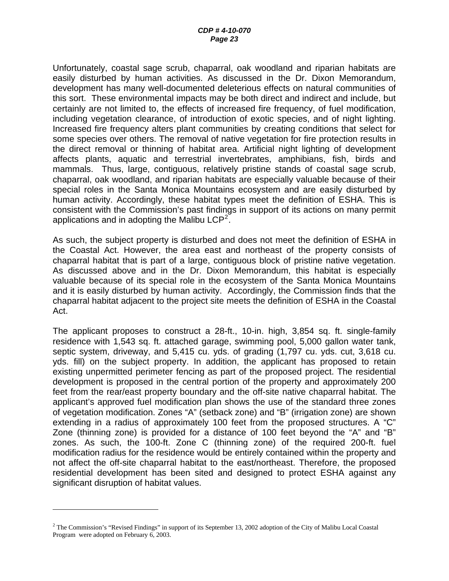Unfortunately, coastal sage scrub, chaparral, oak woodland and riparian habitats are easily disturbed by human activities. As discussed in the Dr. Dixon Memorandum, development has many well-documented deleterious effects on natural communities of this sort. These environmental impacts may be both direct and indirect and include, but certainly are not limited to, the effects of increased fire frequency, of fuel modification, including vegetation clearance, of introduction of exotic species, and of night lighting. Increased fire frequency alters plant communities by creating conditions that select for some species over others. The removal of native vegetation for fire protection results in the direct removal or thinning of habitat area. Artificial night lighting of development affects plants, aquatic and terrestrial invertebrates, amphibians, fish, birds and mammals. Thus, large, contiguous, relatively pristine stands of coastal sage scrub, chaparral, oak woodland, and riparian habitats are especially valuable because of their special roles in the Santa Monica Mountains ecosystem and are easily disturbed by human activity. Accordingly, these habitat types meet the definition of ESHA. This is consistent with the Commission's past findings in support of its actions on many permit applications and in adopting the Malibu  $LCP<sup>2</sup>$  $LCP<sup>2</sup>$  $LCP<sup>2</sup>$ .

As such, the subject property is disturbed and does not meet the definition of ESHA in the Coastal Act. However, the area east and northeast of the property consists of chaparral habitat that is part of a large, contiguous block of pristine native vegetation. As discussed above and in the Dr. Dixon Memorandum, this habitat is especially valuable because of its special role in the ecosystem of the Santa Monica Mountains and it is easily disturbed by human activity. Accordingly, the Commission finds that the chaparral habitat adjacent to the project site meets the definition of ESHA in the Coastal Act.

The applicant proposes to construct a 28-ft., 10-in. high, 3,854 sq. ft. single-family residence with 1,543 sq. ft. attached garage, swimming pool, 5,000 gallon water tank, septic system, driveway, and 5,415 cu. yds. of grading (1,797 cu. yds. cut, 3,618 cu. yds. fill) on the subject property. In addition, the applicant has proposed to retain existing unpermitted perimeter fencing as part of the proposed project. The residential development is proposed in the central portion of the property and approximately 200 feet from the rear/east property boundary and the off-site native chaparral habitat. The applicant's approved fuel modification plan shows the use of the standard three zones of vegetation modification. Zones "A" (setback zone) and "B" (irrigation zone) are shown extending in a radius of approximately 100 feet from the proposed structures. A "C" Zone (thinning zone) is provided for a distance of 100 feet beyond the "A" and "B" zones. As such, the 100-ft. Zone C (thinning zone) of the required 200-ft. fuel modification radius for the residence would be entirely contained within the property and not affect the off-site chaparral habitat to the east/northeast. Therefore, the proposed residential development has been sited and designed to protect ESHA against any significant disruption of habitat values.

 $\overline{a}$ 

 $2$  The Commission's "Revised Findings" in support of its September 13, 2002 adoption of the City of Malibu Local Coastal Program were adopted on February 6, 2003.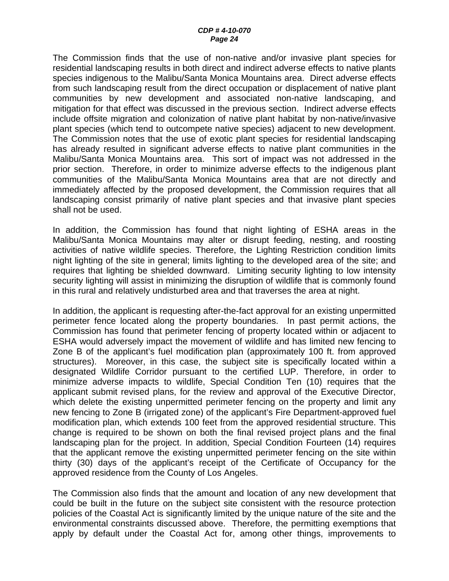The Commission finds that the use of non-native and/or invasive plant species for residential landscaping results in both direct and indirect adverse effects to native plants species indigenous to the Malibu/Santa Monica Mountains area. Direct adverse effects from such landscaping result from the direct occupation or displacement of native plant communities by new development and associated non-native landscaping, and mitigation for that effect was discussed in the previous section. Indirect adverse effects include offsite migration and colonization of native plant habitat by non-native/invasive plant species (which tend to outcompete native species) adjacent to new development. The Commission notes that the use of exotic plant species for residential landscaping has already resulted in significant adverse effects to native plant communities in the Malibu/Santa Monica Mountains area. This sort of impact was not addressed in the prior section. Therefore, in order to minimize adverse effects to the indigenous plant communities of the Malibu/Santa Monica Mountains area that are not directly and immediately affected by the proposed development, the Commission requires that all landscaping consist primarily of native plant species and that invasive plant species shall not be used.

In addition, the Commission has found that night lighting of ESHA areas in the Malibu/Santa Monica Mountains may alter or disrupt feeding, nesting, and roosting activities of native wildlife species. Therefore, the Lighting Restriction condition limits night lighting of the site in general; limits lighting to the developed area of the site; and requires that lighting be shielded downward. Limiting security lighting to low intensity security lighting will assist in minimizing the disruption of wildlife that is commonly found in this rural and relatively undisturbed area and that traverses the area at night.

In addition, the applicant is requesting after-the-fact approval for an existing unpermitted perimeter fence located along the property boundaries. In past permit actions, the Commission has found that perimeter fencing of property located within or adjacent to ESHA would adversely impact the movement of wildlife and has limited new fencing to Zone B of the applicant's fuel modification plan (approximately 100 ft. from approved structures). Moreover, in this case, the subject site is specifically located within a designated Wildlife Corridor pursuant to the certified LUP. Therefore, in order to minimize adverse impacts to wildlife, Special Condition Ten (10) requires that the applicant submit revised plans, for the review and approval of the Executive Director, which delete the existing unpermitted perimeter fencing on the property and limit any new fencing to Zone B (irrigated zone) of the applicant's Fire Department-approved fuel modification plan, which extends 100 feet from the approved residential structure. This change is required to be shown on both the final revised project plans and the final landscaping plan for the project. In addition, Special Condition Fourteen (14) requires that the applicant remove the existing unpermitted perimeter fencing on the site within thirty (30) days of the applicant's receipt of the Certificate of Occupancy for the approved residence from the County of Los Angeles.

The Commission also finds that the amount and location of any new development that could be built in the future on the subject site consistent with the resource protection policies of the Coastal Act is significantly limited by the unique nature of the site and the environmental constraints discussed above. Therefore, the permitting exemptions that apply by default under the Coastal Act for, among other things, improvements to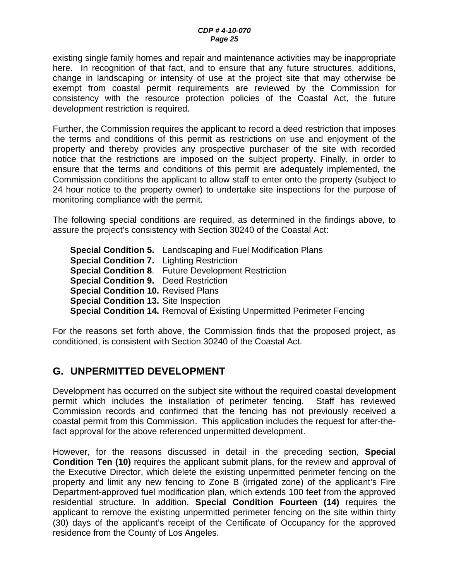existing single family homes and repair and maintenance activities may be inappropriate here. In recognition of that fact, and to ensure that any future structures, additions, change in landscaping or intensity of use at the project site that may otherwise be exempt from coastal permit requirements are reviewed by the Commission for consistency with the resource protection policies of the Coastal Act, the future development restriction is required.

Further, the Commission requires the applicant to record a deed restriction that imposes the terms and conditions of this permit as restrictions on use and enjoyment of the property and thereby provides any prospective purchaser of the site with recorded notice that the restrictions are imposed on the subject property. Finally, in order to ensure that the terms and conditions of this permit are adequately implemented, the Commission conditions the applicant to allow staff to enter onto the property (subject to 24 hour notice to the property owner) to undertake site inspections for the purpose of monitoring compliance with the permit.

The following special conditions are required, as determined in the findings above, to assure the project's consistency with Section 30240 of the Coastal Act:

**Special Condition 5.** Landscaping and Fuel Modification Plans **Special Condition 7.** Lighting Restriction **Special Condition 8**. Future Development Restriction **Special Condition 9.** Deed Restriction **Special Condition 10.** Revised Plans **Special Condition 13.** Site Inspection **Special Condition 14.** Removal of Existing Unpermitted Perimeter Fencing

For the reasons set forth above, the Commission finds that the proposed project, as conditioned, is consistent with Section 30240 of the Coastal Act.

## <span id="page-24-0"></span>**G. UNPERMITTED DEVELOPMENT**

Development has occurred on the subject site without the required coastal development permit which includes the installation of perimeter fencing. Staff has reviewed Commission records and confirmed that the fencing has not previously received a coastal permit from this Commission. This application includes the request for after-thefact approval for the above referenced unpermitted development.

However, for the reasons discussed in detail in the preceding section, **Special Condition Ten (10)** requires the applicant submit plans, for the review and approval of the Executive Director, which delete the existing unpermitted perimeter fencing on the property and limit any new fencing to Zone B (irrigated zone) of the applicant's Fire Department-approved fuel modification plan, which extends 100 feet from the approved residential structure. In addition, **Special Condition Fourteen (14)** requires the applicant to remove the existing unpermitted perimeter fencing on the site within thirty (30) days of the applicant's receipt of the Certificate of Occupancy for the approved residence from the County of Los Angeles.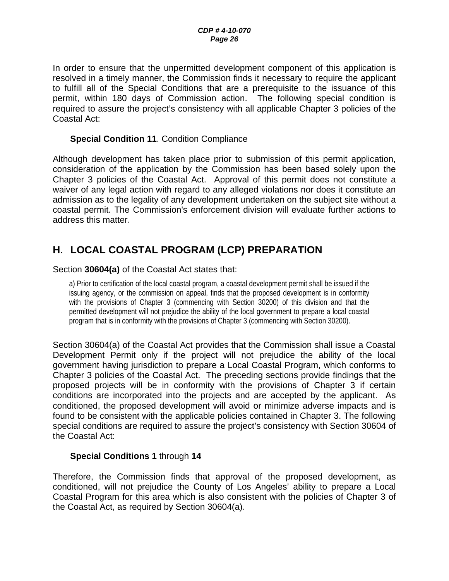In order to ensure that the unpermitted development component of this application is resolved in a timely manner, the Commission finds it necessary to require the applicant to fulfill all of the Special Conditions that are a prerequisite to the issuance of this permit, within 180 days of Commission action. The following special condition is required to assure the project's consistency with all applicable Chapter 3 policies of the Coastal Act:

#### **Special Condition 11**. Condition Compliance

Although development has taken place prior to submission of this permit application, consideration of the application by the Commission has been based solely upon the Chapter 3 policies of the Coastal Act. Approval of this permit does not constitute a waiver of any legal action with regard to any alleged violations nor does it constitute an admission as to the legality of any development undertaken on the subject site without a coastal permit. The Commission's enforcement division will evaluate further actions to address this matter.

## <span id="page-25-0"></span>**H. LOCAL COASTAL PROGRAM (LCP) PREPARATION**

#### Section **30604(a)** of the Coastal Act states that:

a) Prior to certification of the local coastal program, a coastal development permit shall be issued if the issuing agency, or the commission on appeal, finds that the proposed development is in conformity with the provisions of Chapter 3 (commencing with Section 30200) of this division and that the permitted development will not prejudice the ability of the local government to prepare a local coastal program that is in conformity with the provisions of Chapter 3 (commencing with Section 30200).

Section 30604(a) of the Coastal Act provides that the Commission shall issue a Coastal Development Permit only if the project will not prejudice the ability of the local government having jurisdiction to prepare a Local Coastal Program, which conforms to Chapter 3 policies of the Coastal Act. The preceding sections provide findings that the proposed projects will be in conformity with the provisions of Chapter 3 if certain conditions are incorporated into the projects and are accepted by the applicant. As conditioned, the proposed development will avoid or minimize adverse impacts and is found to be consistent with the applicable policies contained in Chapter 3. The following special conditions are required to assure the project's consistency with Section 30604 of the Coastal Act:

#### **Special Conditions 1** through **14**

Therefore, the Commission finds that approval of the proposed development, as conditioned, will not prejudice the County of Los Angeles' ability to prepare a Local Coastal Program for this area which is also consistent with the policies of Chapter 3 of the Coastal Act, as required by Section 30604(a).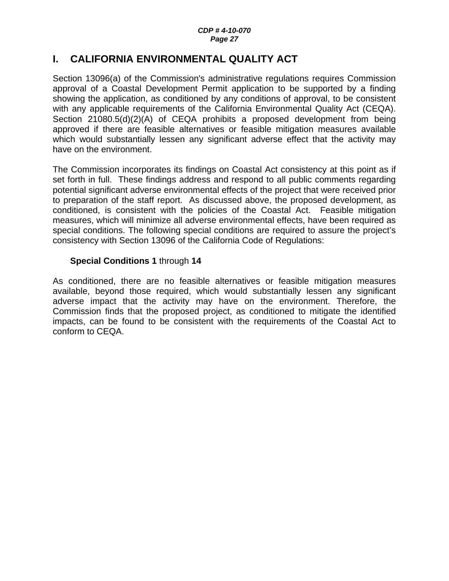## <span id="page-26-0"></span>**I. CALIFORNIA ENVIRONMENTAL QUALITY ACT**

Section 13096(a) of the Commission's administrative regulations requires Commission approval of a Coastal Development Permit application to be supported by a finding showing the application, as conditioned by any conditions of approval, to be consistent with any applicable requirements of the California Environmental Quality Act (CEQA). Section 21080.5(d)(2)(A) of CEQA prohibits a proposed development from being approved if there are feasible alternatives or feasible mitigation measures available which would substantially lessen any significant adverse effect that the activity may have on the environment.

The Commission incorporates its findings on Coastal Act consistency at this point as if set forth in full. These findings address and respond to all public comments regarding potential significant adverse environmental effects of the project that were received prior to preparation of the staff report. As discussed above, the proposed development, as conditioned, is consistent with the policies of the Coastal Act. Feasible mitigation measures, which will minimize all adverse environmental effects, have been required as special conditions. The following special conditions are required to assure the project's consistency with Section 13096 of the California Code of Regulations:

### **Special Conditions 1** through **14**

As conditioned, there are no feasible alternatives or feasible mitigation measures available, beyond those required, which would substantially lessen any significant adverse impact that the activity may have on the environment. Therefore, the Commission finds that the proposed project, as conditioned to mitigate the identified impacts, can be found to be consistent with the requirements of the Coastal Act to conform to CEQA.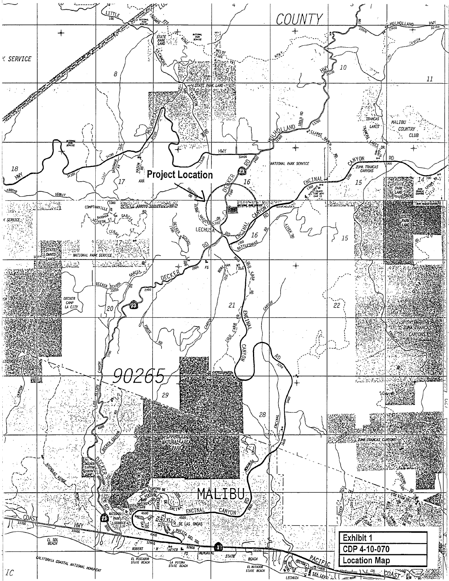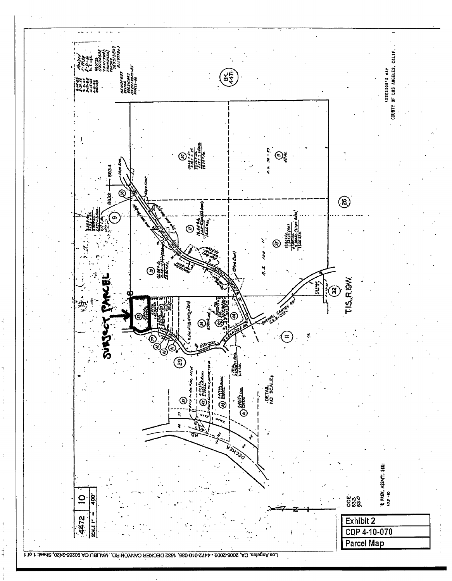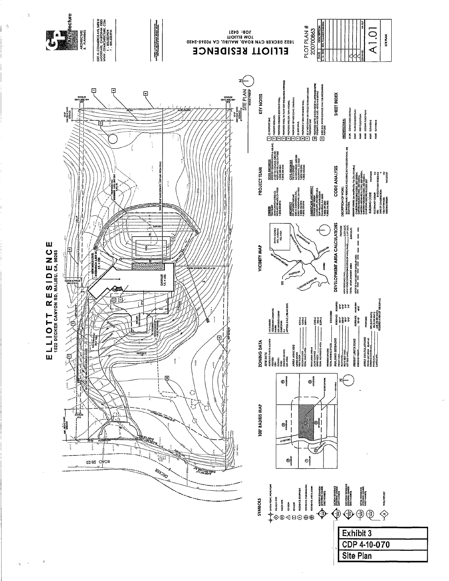

 $\ddot{\phi}$ 

 $\langle \cdot \rangle$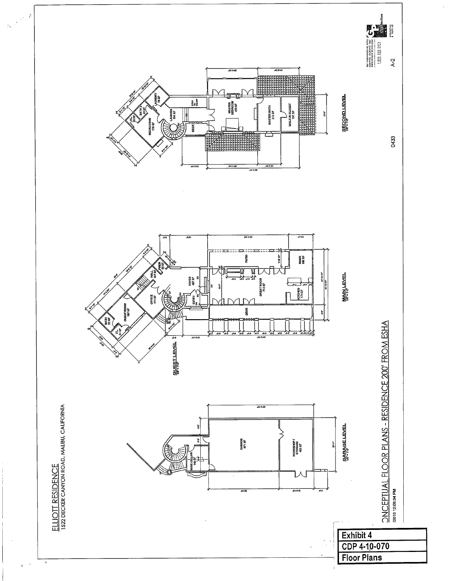![](_page_30_Figure_0.jpeg)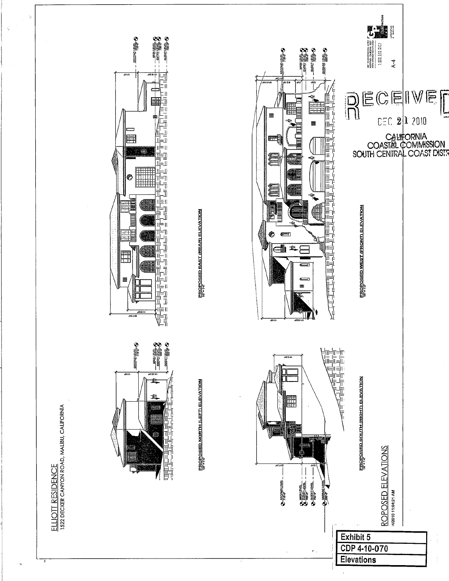![](_page_31_Figure_0.jpeg)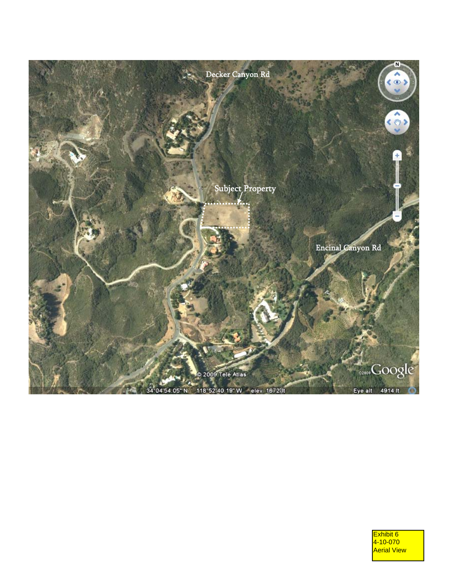![](_page_32_Picture_0.jpeg)

Exhibit 6 4-10-070 Aerial View